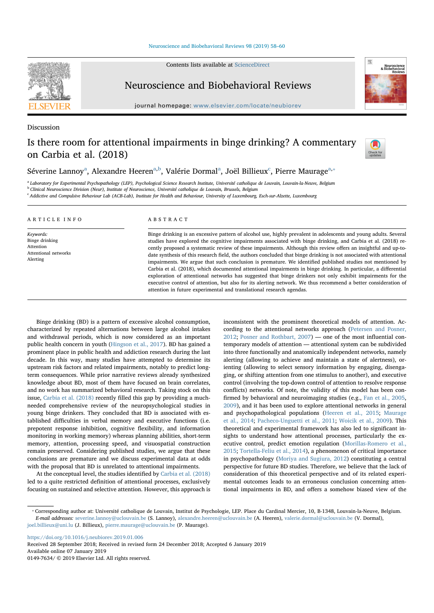## Neuroscience and Biobehavioral Reviews 98 (2019) 58-60

Contents lists available at ScienceDirect

Neuroscience and Biobehavioral Reviews

journal homepage: www.elsevier.com/locate/neubiorev

# Discussion

# Is there room for attentional impairments in binge drinking? A commentary on Carbia et al. (2018)



Séverine Lannoy<sup>a</sup>, Alexandre Heeren<sup>a,b</sup>, Valérie Dormal<sup>a</sup>, Joël Billieux<sup>c</sup>, Pierre Maurage<sup>a,</sup>\*

<sup>a</sup> Laboratory for Experimental Psychopathology (LEP), Psychological Science Research Institute, Université catholique de Louvain, Louvain-la-Neuve, Belgium <sup>b</sup> Clinical Neuroscience Division (Neur), Institute of Neuroscience, Université catholique de Louvain, Brussels, Belgium

<sup>c</sup> Addictive and Compulsive Behaviour Lab (ACB-Lab), Institute for Health and Behaviour, University of Luxembourg, Esch-sur-Alzette, Luxembourg

### ARTICLE INFO Keywords: Binge drinking Attention Attentional networks Alerting ABSTRACT Binge drinking is an excessive pattern of alcohol use, highly prevalent in adolescents and young adults. Several studies have explored the cognitive impairments associated with binge drinking, and Carbia et al. (2018) recently proposed a systematic review of these impairments. Although this review offers an insightful and up-todate synthesis of this research field, the authors concluded that binge drinking is not associated with attentional impairments. We argue that such conclusion is premature. We identified published studies not mentioned by Carbia et al. (2018), which documented attentional impairments in binge drinking. In particular, a differential exploration of attentional networks has suggested that binge drinkers not only exhibit impairments for the executive control of attention, but also for its alerting network. We thus recommend a better consideration of

attention in future experimental and translational research agendas.

Binge drinking (BD) is a pattern of excessive alcohol consumption, characterized by repeated alternations between large alcohol intakes and withdrawal periods, which is now considered as an important public health concern in youth (Hingson et al., 2017). BD has gained a prominent place in public health and addiction research during the last decade. In this way, many studies have attempted to determine its upstream risk factors and related impairments, notably to predict longterm consequences. While prior narrative reviews already synthesized knowledge about BD, most of them have focused on brain correlates, and no work has summarized behavioral research. Taking stock on this issue, Carbia et al. (2018) recently filled this gap by providing a muchneeded comprehensive review of the neuropsychological studies in young binge drinkers. They concluded that BD is associated with established difficulties in verbal memory and executive functions (i.e. prepotent response inhibition, cognitive flexibility, and information monitoring in working memory) whereas planning abilities, short-term memory, attention, processing speed, and visuospatial construction remain preserved. Considering published studies, we argue that these conclusions are premature and we discuss experimental data at odds with the proposal that BD is unrelated to attentional impairments.

At the conceptual level, the studies identified by Carbia et al. (2018) led to a quite restricted definition of attentional processes, exclusively focusing on sustained and selective attention. However, this approach is inconsistent with the prominent theoretical models of attention. According to the attentional networks approach (Petersen and Posner, 2012; Posner and Rothbart, 2007) — one of the most influential contemporary models of attention — attentional system can be subdivided into three functionally and anatomically independent networks, namely alerting (allowing to achieve and maintain a state of alertness), orienting (allowing to select sensory information by engaging, disengaging, or shifting attention from one stimulus to another), and executive control (involving the top-down control of attention to resolve response conflicts) networks. Of note, the validity of this model has been confirmed by behavioral and neuroimaging studies (e.g., Fan et al., 2005, 2009), and it has been used to explore attentional networks in general and psychopathological populations (Heeren et al., 2015; Maurage et al., 2014; Pacheco-Unguetti et al., 2011; Woicik et al., 2009). This theoretical and experimental framework has also led to significant insights to understand how attentional processes, particularly the executive control, predict emotion regulation (Morillas-Romero et al., 2015; Tortella-Feliu et al., 2014), a phenomenon of critical importance in psychopathology (Moriya and Sugiura, 2012) constituting a central perspective for future BD studies. Therefore, we believe that the lack of consideration of this theoretical perspective and of its related experimental outcomes leads to an erroneous conclusion concerning attentional impairments in BD, and offers a somehow biased view of the

https://doi.org/10.1016/j.neubiorev.2019.01.006

Available online 07 January 2019

0149-7634/ © 2019 Elsevier Ltd. All rights reserved.

<sup>⁎</sup> Corresponding author at: Université catholique de Louvain, Institut de Psychologie, LEP. Place du Cardinal Mercier, 10, B-1348, Louvain-la-Neuve, Belgium. E-mail addresses: severine.lannoy@uclouvain.be (S. Lannoy), alexandre.heeren@uclouvain.be (A. Heeren), valerie.dormal@uclouvain.be (V. Dormal), joel.billieux@uni.lu (J. Billieux), pierre.maurage@uclouvain.be (P. Maurage).

Received 28 September 2018; Received in revised form 24 December 2018; Accepted 6 January 2019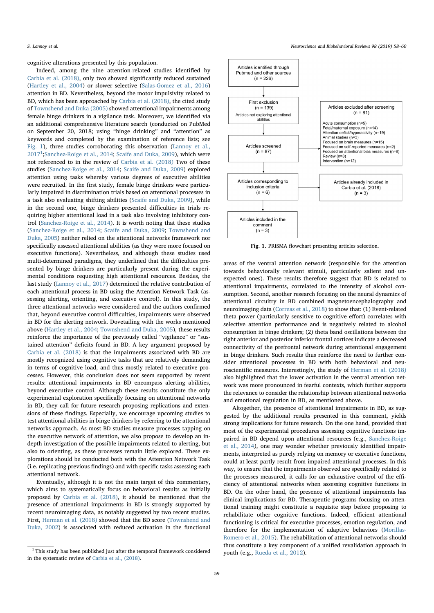cognitive alterations presented by this population.

Indeed, among the nine attention-related studies identified by Carbia et al. (2018), only two showed significantly reduced sustained (Hartley et al., 2004) or slower selective (Salas-Gomez et al., 2016) attention in BD. Nevertheless, beyond the motor impulsivity related to BD, which has been approached by Carbia et al. (2018), the cited study of Townshend and Duka (2005) showed attentional impairments among female binge drinkers in a vigilance task. Moreover, we identified via an additional comprehensive literature search (conducted on PubMed on September 20, 2018; using "binge drinking" and "attention" as keywords and completed by the examination of reference lists; see Fig. 1), three studies corroborating this observation (Lannoy et al.,  $2017<sup>1</sup>$ ;Sanchez-Roige et al., 2014; Scaife and Duka, 2009), which were not referenced to in the review of Carbia et al. (2018) Two of these studies (Sanchez-Roige et al., 2014; Scaife and Duka, 2009) explored attention using tasks whereby various degrees of executive abilities were recruited. In the first study, female binge drinkers were particularly impaired in discrimination trials based on attentional processes in a task also evaluating shifting abilities (Scaife and Duka, 2009), while in the second one, binge drinkers presented difficulties in trials requiring higher attentional load in a task also involving inhibitory control (Sanchez-Roige et al., 2014). It is worth noting that these studies (Sanchez-Roige et al., 2014; Scaife and Duka, 2009; Townshend and Duka, 2005) neither relied on the attentional networks framework nor specifically assessed attentional abilities (as they were more focused on executive functions). Nevertheless, and although these studies used multi-determined paradigms, they underlined that the difficulties presented by binge drinkers are particularly present during the experimental conditions requesting high attentional resources. Besides, the last study (Lannoy et al., 2017) determined the relative contribution of each attentional process in BD using the Attention Network Task (assessing alerting, orienting, and executive control). In this study, the three attentional networks were considered and the authors confirmed that, beyond executive control difficulties, impairments were observed in BD for the alerting network. Dovetailing with the works mentioned above (Hartley et al., 2004; Townshend and Duka, 2005), these results reinforce the importance of the previously called "vigilance" or "sustained attention" deficits found in BD. A key argument proposed by Carbia et al. (2018) is that the impairments associated with BD are mostly recognized using cognitive tasks that are relatively demanding in terms of cognitive load, and thus mostly related to executive processes. However, this conclusion does not seem supported by recent results: attentional impairments in BD encompass alerting abilities, beyond executive control. Although these results constitute the only experimental exploration specifically focusing on attentional networks in BD, they call for future research proposing replications and extensions of these findings. Especially, we encourage upcoming studies to test attentional abilities in binge drinkers by referring to the attentional networks approach. As most BD studies measure processes tapping on the executive network of attention, we also propose to develop an indepth investigation of the possible impairments related to alerting, but also to orienting, as these processes remain little explored. These explorations should be conducted both with the Attention Network Task (i.e. replicating previous findings) and with specific tasks assessing each attentional network.

Eventually, although it is not the main target of this commentary, which aims to systematically focus on behavioral results as initially proposed by Carbia et al. (2018), it should be mentioned that the presence of attentional impairments in BD is strongly supported by recent neuroimaging data, as notably suggested by two recent studies. First, Herman et al. (2018) showed that the BD score (Townshend and Duka, 2002) is associated with reduced activation in the functional



Fig. 1. PRISMA flowchart presenting articles selection.

areas of the ventral attention network (responsible for the attention towards behaviorally relevant stimuli, particularly salient and unexpected ones). These results therefore suggest that BD is related to attentional impairments, correlated to the intensity of alcohol consumption. Second, another research focusing on the neural dynamics of attentional circuitry in BD combined magnetoencephalography and neuroimaging data (Correas et al., 2018) to show that: (1) Event-related theta power (particularly sensitive to cognitive effort) correlates with selective attention performance and is negatively related to alcohol consumption in binge drinkers; (2) theta band oscillations between the right anterior and posterior inferior frontal cortices indicate a decreased connectivity of the prefrontal network during attentional engagement in binge drinkers. Such results thus reinforce the need to further consider attentional processes in BD with both behavioral and neuroscientific measures. Interestingly, the study of Herman et al. (2018) also highlighted that the lower activation in the ventral attention network was more pronounced in fearful contexts, which further supports the relevance to consider the relationship between attentional networks and emotional regulation in BD, as mentioned above.

Altogether, the presence of attentional impairments in BD, as suggested by the additional results presented in this comment, yields strong implications for future research. On the one hand, provided that most of the experimental procedures assessing cognitive functions impaired in BD depend upon attentional resources (e.g., Sanchez-Roige et al., 2014), one may wonder whether previously identified impairments, interpreted as purely relying on memory or executive functions, could at least partly result from impaired attentional processes. In this way, to ensure that the impairments observed are specifically related to the processes measured, it calls for an exhaustive control of the efficiency of attentional networks when assessing cognitive functions in BD. On the other hand, the presence of attentional impairments has clinical implications for BD. Therapeutic programs focusing on attentional training might constitute a requisite step before proposing to rehabilitate other cognitive functions. Indeed, efficient attentional functioning is critical for executive processes, emotion regulation, and therefore for the implementation of adaptive behaviors (Morillas-Romero et al., 2015). The rehabilitation of attentional networks should thus constitute a key component of a unified revalidation approach in youth (e.g., Rueda et al., 2012).

 $^{\rm 1}$  This study has been published just after the temporal framework considered in the systematic review of Carbia et al., (2018).